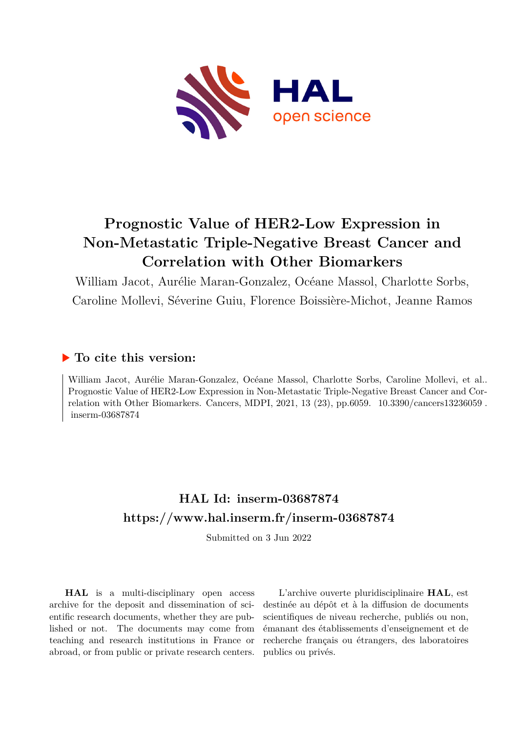

# **Prognostic Value of HER2-Low Expression in Non-Metastatic Triple-Negative Breast Cancer and Correlation with Other Biomarkers**

William Jacot, Aurélie Maran-Gonzalez, Océane Massol, Charlotte Sorbs, Caroline Mollevi, Séverine Guiu, Florence Boissière-Michot, Jeanne Ramos

### **To cite this version:**

William Jacot, Aurélie Maran-Gonzalez, Océane Massol, Charlotte Sorbs, Caroline Mollevi, et al.. Prognostic Value of HER2-Low Expression in Non-Metastatic Triple-Negative Breast Cancer and Correlation with Other Biomarkers. Cancers, MDPI, 2021, 13 (23), pp.6059.  $10.3390/cancers13236059$ . inserm-03687874

## **HAL Id: inserm-03687874 <https://www.hal.inserm.fr/inserm-03687874>**

Submitted on 3 Jun 2022

**HAL** is a multi-disciplinary open access archive for the deposit and dissemination of scientific research documents, whether they are published or not. The documents may come from teaching and research institutions in France or abroad, or from public or private research centers.

L'archive ouverte pluridisciplinaire **HAL**, est destinée au dépôt et à la diffusion de documents scientifiques de niveau recherche, publiés ou non, émanant des établissements d'enseignement et de recherche français ou étrangers, des laboratoires publics ou privés.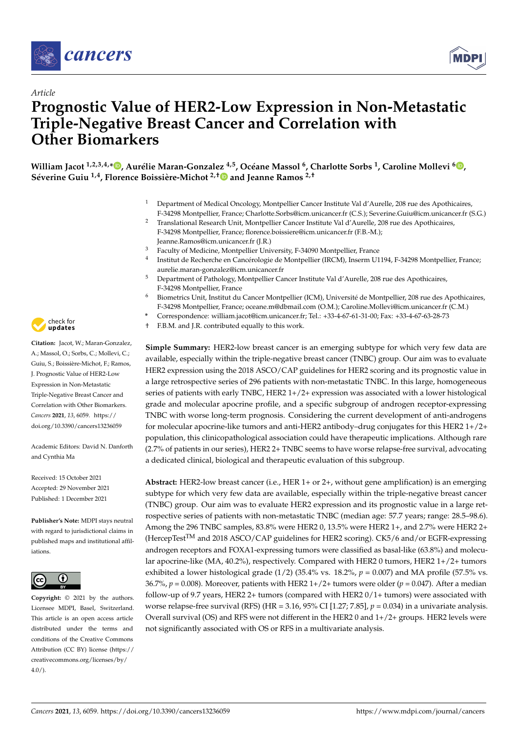



### *Article* **Prognostic Value of HER2-Low Expression in Non-Metastatic Triple-Negative Breast Cancer and Correlation with Other Biomarkers**

William Jacot <sup>1[,](https://orcid.org/0000-0003-4827-3684)2,3,4,</sup>\*D, Aurélie Maran-Gonzalez <sup>4,5</sup>, Océane Massol <sup>6</sup>, Charlotte Sorbs <sup>1</sup>, Caroline Mollevi <sup>6</sup>D, **Séverine Guiu 1,4, Florence Boissière-Michot 2,[†](https://orcid.org/0000-0003-2431-5157) and Jeanne Ramos 2,†**

- <sup>1</sup> Department of Medical Oncology, Montpellier Cancer Institute Val d'Aurelle, 208 rue des Apothicaires, F-34298 Montpellier, France; Charlotte.Sorbs@icm.unicancer.fr (C.S.); Severine.Guiu@icm.unicancer.fr (S.G.)
- <sup>2</sup> Translational Research Unit, Montpellier Cancer Institute Val d'Aurelle, 208 rue des Apothicaires, F-34298 Montpellier, France; florence.boissiere@icm.unicancer.fr (F.B.-M.); Jeanne.Ramos@icm.unicancer.fr (J.R.)
- <sup>3</sup> Faculty of Medicine, Montpellier University, F-34090 Montpellier, France
- 4 Institut de Recherche en Cancérologie de Montpellier (IRCM), Inserm U1194, F-34298 Montpellier, France; aurelie.maran-gonzalez@icm.unicancer.fr
- <sup>5</sup> Department of Pathology, Montpellier Cancer Institute Val d'Aurelle, 208 rue des Apothicaires, F-34298 Montpellier, France
- <sup>6</sup> Biometrics Unit, Institut du Cancer Montpellier (ICM), Université de Montpellier, 208 rue des Apothicaires, F-34298 Montpellier, France; oceane.m@dbmail.com (O.M.); Caroline.Mollevi@icm.unicancer.fr (C.M.)
- **\*** Correspondence: william.jacot@icm.unicancer.fr; Tel.: +33-4-67-61-31-00; Fax: +33-4-67-63-28-73
- † F.B.M. and J.R. contributed equally to this work.

**Simple Summary:** HER2-low breast cancer is an emerging subtype for which very few data are available, especially within the triple-negative breast cancer (TNBC) group. Our aim was to evaluate HER2 expression using the 2018 ASCO/CAP guidelines for HER2 scoring and its prognostic value in a large retrospective series of 296 patients with non-metastatic TNBC. In this large, homogeneous series of patients with early TNBC, HER2 1+/2+ expression was associated with a lower histological grade and molecular apocrine profile, and a specific subgroup of androgen receptor-expressing TNBC with worse long-term prognosis. Considering the current development of anti-androgens for molecular apocrine-like tumors and anti-HER2 antibody–drug conjugates for this HER2 1+/2+ population, this clinicopathological association could have therapeutic implications. Although rare (2.7% of patients in our series), HER2 2+ TNBC seems to have worse relapse-free survival, advocating a dedicated clinical, biological and therapeutic evaluation of this subgroup.

**Abstract:** HER2-low breast cancer (i.e., HER 1+ or 2+, without gene amplification) is an emerging subtype for which very few data are available, especially within the triple-negative breast cancer (TNBC) group. Our aim was to evaluate HER2 expression and its prognostic value in a large retrospective series of patients with non-metastatic TNBC (median age: 57.7 years; range: 28.5–98.6). Among the 296 TNBC samples, 83.8% were HER2 0, 13.5% were HER2 1+, and 2.7% were HER2 2+ (HercepTestTM and 2018 ASCO/CAP guidelines for HER2 scoring). CK5/6 and/or EGFR-expressing androgen receptors and FOXA1-expressing tumors were classified as basal-like (63.8%) and molecular apocrine-like (MA, 40.2%), respectively. Compared with HER2 0 tumors, HER2 1+/2+ tumors exhibited a lower histological grade  $(1/2)$  (35.4% vs. 18.2%,  $p = 0.007$ ) and MA profile (57.5% vs. 36.7%,  $p = 0.008$ ). Moreover, patients with HER2 1+/2+ tumors were older ( $p = 0.047$ ). After a median follow-up of 9.7 years, HER2 2+ tumors (compared with HER2 0/1+ tumors) were associated with worse relapse-free survival (RFS) (HR = 3.16, 95% CI [1.27; 7.85],  $p = 0.034$ ) in a univariate analysis. Overall survival (OS) and RFS were not different in the HER2 0 and 1+/2+ groups. HER2 levels were not significantly associated with OS or RFS in a multivariate analysis.



**Citation:** Jacot, W.; Maran-Gonzalez, A.; Massol, O.; Sorbs, C.; Mollevi, C.; Guiu, S.; Boissière-Michot, F.; Ramos, J. Prognostic Value of HER2-Low Expression in Non-Metastatic Triple-Negative Breast Cancer and Correlation with Other Biomarkers. *Cancers* **2021**, *13*, 6059. [https://](https://doi.org/10.3390/cancers13236059) [doi.org/10.3390/cancers13236059](https://doi.org/10.3390/cancers13236059)

Academic Editors: David N. Danforth and Cynthia Ma

Received: 15 October 2021 Accepted: 29 November 2021 Published: 1 December 2021

**Publisher's Note:** MDPI stays neutral with regard to jurisdictional claims in published maps and institutional affiliations.



**Copyright:** © 2021 by the authors. Licensee MDPI, Basel, Switzerland. This article is an open access article distributed under the terms and conditions of the Creative Commons Attribution (CC BY) license (https:/[/](https://creativecommons.org/licenses/by/4.0/) [creativecommons.org/licenses/by/](https://creativecommons.org/licenses/by/4.0/)  $4.0/$ ).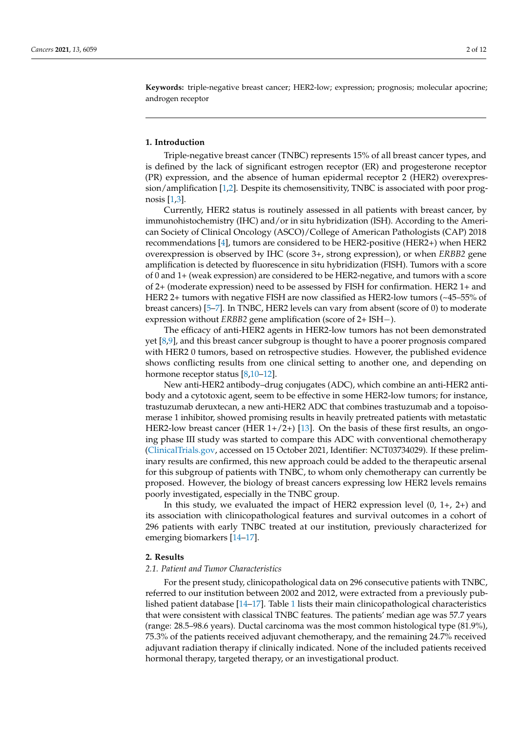**Keywords:** triple-negative breast cancer; HER2-low; expression; prognosis; molecular apocrine; androgen receptor

#### **1. Introduction**

Triple-negative breast cancer (TNBC) represents 15% of all breast cancer types, and is defined by the lack of significant estrogen receptor (ER) and progesterone receptor (PR) expression, and the absence of human epidermal receptor 2 (HER2) overexpression/amplification [1,2]. Despite its chemosensitivity, TNBC is associated with poor prognosis [1,3].

Currently, HER2 status is routinely assessed in all patients with breast cancer, by immunohistochemistry (IHC) and/or in situ hybridization (ISH). According to the American Society of Clinical Oncology (ASCO)/College of American Pathologists (CAP) 2018 recommendations [4], tumors are considered to be HER2-positive (HER2+) when HER2 overexpression is observed by IHC (score 3+, strong expression), or when *ERBB2* gene amplification is detected by fluorescence in situ hybridization (FISH). Tumors with a score of 0 and 1+ (weak expression) are considered to be HER2-negative, and tumors with a score of 2+ (moderate expression) need to be assessed by FISH for confirmation. HER2 1+ and HER2 2+ tumors with negative FISH are now classified as HER2-low tumors (~45–55% of breast cancers) [5–7]. In TNBC, HER2 levels can vary from absent (score of 0) to moderate expression without *ERBB2* gene amplification (score of 2+ ISH−).

The efficacy of anti-HER2 agents in HER2-low tumors has not been demonstrated yet [8,9], and this breast cancer subgroup is thought to have a poorer prognosis compared with HER2 0 tumors, based on retrospective studies. However, the published evidence shows conflicting results from one clinical setting to another one, and depending on hormone receptor status [8,10-12].

New anti-HER2 antibody–drug conjugates (ADC), which combine an anti-HER2 antibody and a cytotoxic agent, seem to be effective in some HER2-low tumors; for instance, trastuzumab deruxtecan, a new anti-HER2 ADC that combines trastuzumab and a topoisomerase 1 inhibitor, showed promising results in heavily pretreated patients with metastatic HER2-low breast cancer (HER  $1+/2+$ ) [13]. On the basis of these first results, an ongoing phase III study was started to compare this ADC with conventional chemotherapy [\(ClinicalTrials.gov,](ClinicalTrials.gov) accessed on 15 October 2021, Identifier: NCT03734029). If these preliminary results are confirmed, this new approach could be added to the therapeutic arsenal for this subgroup of patients with TNBC, to whom only chemotherapy can currently be proposed. However, the biology of breast cancers expressing low HER2 levels remains poorly investigated, especially in the TNBC group.

In this study, we evaluated the impact of HER2 expression level  $(0, 1+, 2+)$  and its association with clinicopathological features and survival outcomes in a cohort of 296 patients with early TNBC treated at our institution, previously characterized for emerging biomarkers [14–17].

#### **2. Results**

#### *2.1. Patient and Tumor Characteristics*

For the present study, clinicopathological data on 296 consecutive patients with TNBC, referred to our institution between 2002 and 2012, were extracted from a previously published patient database  $[14-17]$ . Table 1 lists their main clinicopathological characteristics that were consistent with classical TNBC features. The patients' median age was 57.7 years (range: 28.5–98.6 years). Ductal carcinoma was the most common histological type (81.9%), 75.3% of the patients received adjuvant chemotherapy, and the remaining 24.7% received adjuvant radiation therapy if clinically indicated. None of the included patients received hormonal therapy, targeted therapy, or an investigational product.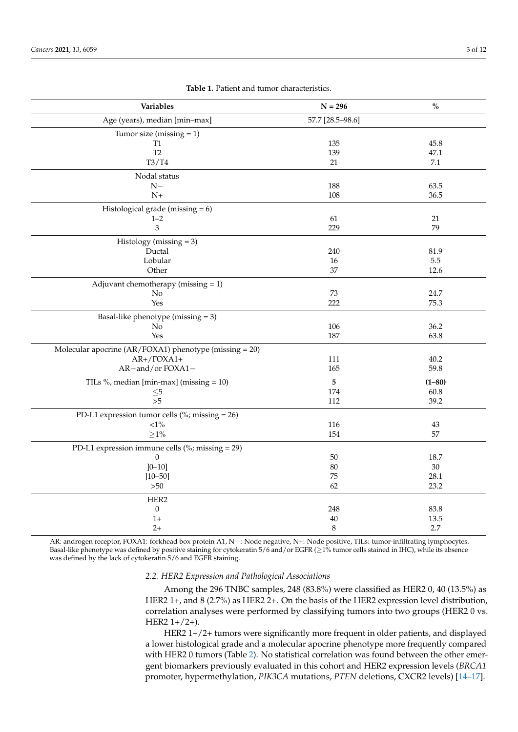| Variables                                              | $N = 296$        | $\mathbf{O}_{\mathbf{O}}^{\prime}$ |
|--------------------------------------------------------|------------------|------------------------------------|
| Age (years), median [min-max]                          | 57.7 [28.5-98.6] |                                    |
| Tumor size (missing $= 1$ )                            |                  |                                    |
| T <sub>1</sub>                                         | 135              | 45.8                               |
| T <sub>2</sub>                                         | 139              | 47.1                               |
| T3/T4                                                  | 21               | $7.1\,$                            |
| Nodal status                                           |                  |                                    |
| $N-$                                                   | 188              | 63.5                               |
| $N+$                                                   | 108              | 36.5                               |
| Histological grade (missing $= 6$ )                    |                  |                                    |
| $1 - 2$                                                | 61               | 21                                 |
| 3                                                      | 229              | 79                                 |
| Histology (missing $=$ 3)                              |                  |                                    |
| Ductal                                                 | 240              | 81.9                               |
| Lobular                                                | $16\,$           | 5.5                                |
| Other                                                  | 37               | 12.6                               |
| Adjuvant chemotherapy (missing $= 1$ )                 |                  |                                    |
| No                                                     | 73               | 24.7                               |
| Yes                                                    | 222              | 75.3                               |
| Basal-like phenotype (missing $=$ 3)                   |                  |                                    |
| No                                                     | 106              | 36.2                               |
| Yes                                                    | 187              | 63.8                               |
| Molecular apocrine (AR/FOXA1) phenotype (missing = 20) |                  |                                    |
| $AR+$ /FOXA1+                                          | 111              | 40.2                               |
| AR-and/or FOXA1-                                       | 165              | 59.8                               |
| TILs %, median [min-max] (missing $= 10$ )             | 5                | $(1 - 80)$                         |
| ${\leq}5$                                              | 174              | 60.8                               |
| >5                                                     | 112              | 39.2                               |
| PD-L1 expression tumor cells (%; missing $= 26$ )      |                  |                                    |
| ${<}1\%$                                               | 116              | 43                                 |
| $\geq$ 1%                                              | 154              | 57                                 |
| PD-L1 expression immune cells (%; missing $= 29$ )     |                  |                                    |
| $\theta$                                               | 50               | 18.7                               |
| $]0-10]$                                               | 80               | 30                                 |
| $[10 - 50]$                                            | 75               | 28.1                               |
| $>50$                                                  | 62               | 23.2                               |
| HER2                                                   |                  |                                    |
| $\boldsymbol{0}$                                       | 248              | 83.8                               |
| $1+$                                                   | 40               | 13.5                               |
| $2+$                                                   | $\,8\,$          | 2.7                                |

**Table 1.** Patient and tumor characteristics.

AR: androgen receptor, FOXA1: forkhead box protein A1, N-: Node negative, N+: Node positive, TILs: tumor-infiltrating lymphocytes. Basal-like phenotype was defined by positive staining for cytokeratin 5/6 and/or EGFR (≥1% tumor cells stained in IHC), while its absence was defined by the lack of cytokeratin 5/6 and EGFR staining.

#### *2.2. HER2 Expression and Pathological Associations*

Among the 296 TNBC samples, 248 (83.8%) were classified as HER2 0, 40 (13.5%) as HER2 1+, and 8 (2.7%) as HER2 2+. On the basis of the HER2 expression level distribution, correlation analyses were performed by classifying tumors into two groups (HER2 0 vs. HER2  $1+/2+$ ).

HER2 1+/2+ tumors were significantly more frequent in older patients, and displayed a lower histological grade and a molecular apocrine phenotype more frequently compared with HER2 0 tumors (Table 2). No statistical correlation was found between the other emergent biomarkers previously evaluated in this cohort and HER2 expression levels (*BRCA1* promoter, hypermethylation, *PIK3CA* mutations, *PTEN* deletions, CXCR2 levels) [14–17].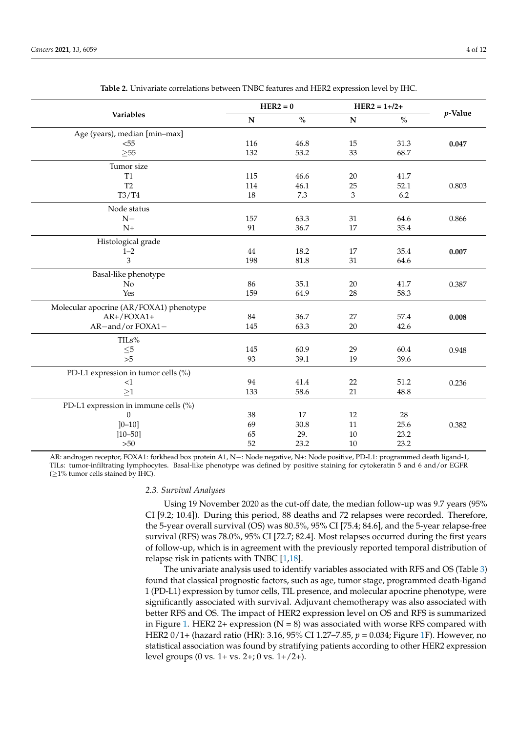|                                         | $HER2 = 0$                |                                    | $HER2 = 1 + 2 +$ |                                    |            |
|-----------------------------------------|---------------------------|------------------------------------|------------------|------------------------------------|------------|
| Variables                               | ${\bf N}$                 | $\mathbf{O}_{\mathbf{O}}^{\prime}$ | ${\bf N}$        | $\mathbf{0}_{\mathbf{0}}^{\prime}$ | $p$ -Value |
| Age (years), median [min-max]           |                           |                                    |                  |                                    |            |
| < 55                                    | 116                       | 46.8                               | 15               | 31.3                               | 0.047      |
| $\geq 55$                               | 132                       | 53.2                               | 33               | 68.7                               |            |
| Tumor size                              |                           |                                    |                  |                                    |            |
| T1                                      | 115                       | 46.6                               | 20               | 41.7                               |            |
| T <sub>2</sub>                          | 114                       | 46.1                               | 25               | 52.1                               | 0.803      |
| T3/T4                                   | 18                        | 7.3                                | 3                | 6.2                                |            |
| Node status                             |                           |                                    |                  |                                    |            |
| $N-$                                    | 157                       | 63.3                               | 31               | 64.6                               | 0.866      |
| $N+$                                    | 91                        | 36.7                               | 17               | 35.4                               |            |
| Histological grade                      |                           |                                    |                  |                                    |            |
| $1 - 2$                                 | 44                        | 18.2                               | 17               | 35.4                               | 0.007      |
| 3                                       | 198                       | 81.8                               | 31               | 64.6                               |            |
| Basal-like phenotype                    |                           |                                    |                  |                                    |            |
| No                                      | 86                        | 35.1                               | 20               | 41.7                               | 0.387      |
| Yes                                     | 159<br>64.9<br>28<br>58.3 |                                    |                  |                                    |            |
| Molecular apocrine (AR/FOXA1) phenotype |                           |                                    |                  |                                    |            |
| $AR+$ /FOXA1+                           | $84\,$                    | 36.7                               | 27               | 57.4                               | 0.008      |
| AR-and/or FOXA1-                        | 145                       | 63.3                               | 20               | 42.6                               |            |
| TILs%                                   |                           |                                    |                  |                                    |            |
| $\leq\!\!5$                             | 145                       | 60.9                               | 29               | 60.4                               | 0.948      |
| >5                                      | 93                        | 39.1                               | 19               | 39.6                               |            |
| PD-L1 expression in tumor cells (%)     |                           |                                    |                  |                                    |            |
| <1                                      | 94                        | 41.4                               | 22               | 51.2                               | 0.236      |
| >1                                      | 133                       | 58.6                               | 21               | 48.8                               |            |
| PD-L1 expression in immune cells (%)    |                           |                                    |                  |                                    |            |
| $\overline{0}$                          | 38                        | 17                                 | 12               | 28                                 |            |
| $]0 - 10]$                              | 69                        | 30.8                               | 11               | 25.6                               | 0.382      |
| $[10 - 50]$                             | 65                        | 29.                                | 10               | 23.2                               |            |
| >50                                     | 52                        | 23.2                               | 10               | 23.2                               |            |

**Table 2.** Univariate correlations between TNBC features and HER2 expression level by IHC.

AR: androgen receptor, FOXA1: forkhead box protein A1, N−: Node negative, N+: Node positive, PD-L1: programmed death ligand-1, TILs: tumor-infiltrating lymphocytes. Basal-like phenotype was defined by positive staining for cytokeratin 5 and 6 and/or EGFR  $(≥1%$  tumor cells stained by IHC).

#### *2.3. Survival Analyses*

Using 19 November 2020 as the cut-off date, the median follow-up was 9.7 years (95% CI [9.2; 10.4]). During this period, 88 deaths and 72 relapses were recorded. Therefore, the 5-year overall survival (OS) was 80.5%, 95% CI [75.4; 84.6], and the 5-year relapse-free survival (RFS) was 78.0%, 95% CI [72.7; 82.4]. Most relapses occurred during the first years of follow-up, which is in agreement with the previously reported temporal distribution of relapse risk in patients with TNBC [1,18].

The univariate analysis used to identify variables associated with RFS and OS (Table 3) found that classical prognostic factors, such as age, tumor stage, programmed death-ligand 1 (PD-L1) expression by tumor cells, TIL presence, and molecular apocrine phenotype, were significantly associated with survival. Adjuvant chemotherapy was also associated with better RFS and OS. The impact of HER2 expression level on OS and RFS is summarized in Figure 1. HER2 2+ expression ( $N = 8$ ) was associated with worse RFS compared with HER2 0/1+ (hazard ratio (HR): 3.16, 95% CI 1.27–7.85, *p* = 0.034; Figure 1F). However, no statistical association was found by stratifying patients according to other HER2 expression level groups (0 vs. 1+ vs. 2+; 0 vs. 1+/2+).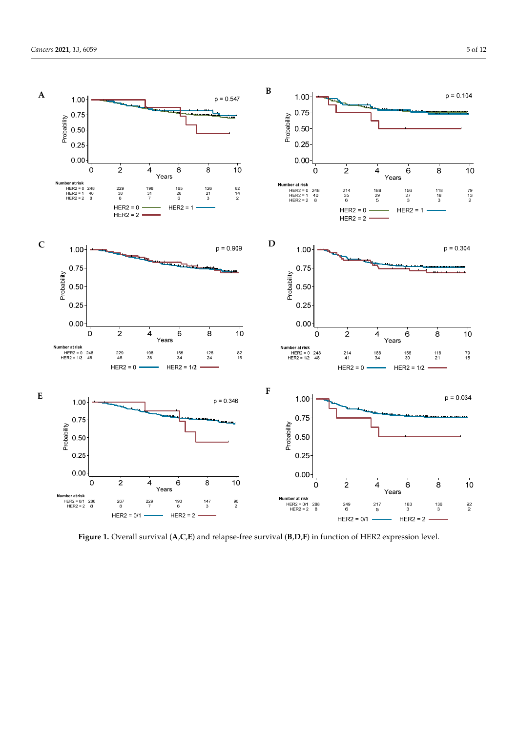

 $H^2(\mathbb{R}^2)$  expression level groups (1 vs. 1+ vs. 1+ vs. 1+  $\mathbb{R}^2$ 

**Figure 1.** Overall survival  $(A, C, E)$  and relapse-free survival  $(B, D, F)$  in function of HER2 expression level.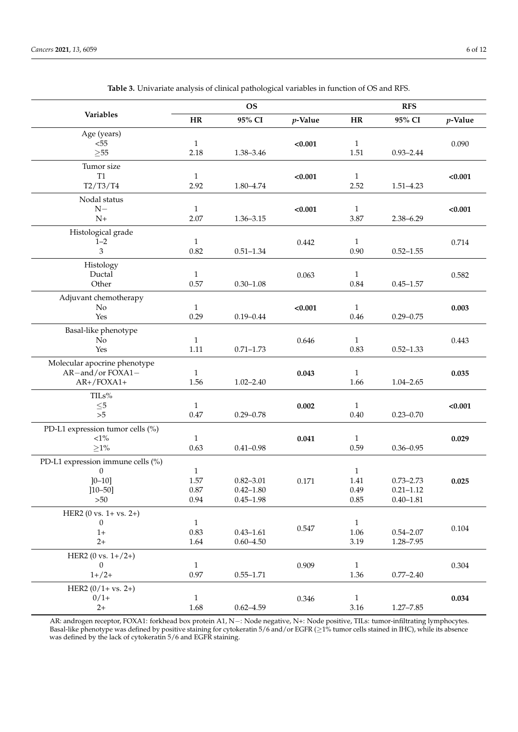|                                   | <b>OS</b>            |               |            | <b>RFS</b>           |               |            |
|-----------------------------------|----------------------|---------------|------------|----------------------|---------------|------------|
| Variables                         | HR                   | 95% CI        | $p$ -Value | HR                   | 95% CI        | $p$ -Value |
| Age (years)                       |                      |               |            |                      |               |            |
| $55$                              | $\mathbf{1}$         |               | < 0.001    | $\mathbf{1}$         |               | 0.090      |
| $\geq 55$                         | 2.18                 | 1.38-3.46     |            | 1.51                 | $0.93 - 2.44$ |            |
| Tumor size                        |                      |               |            |                      |               |            |
| T <sub>1</sub><br>T2/T3/T4        | $\mathbf{1}$<br>2.92 | $1.80 - 4.74$ | < 0.001    | $\mathbf{1}$<br>2.52 | $1.51 - 4.23$ | < 0.001    |
|                                   |                      |               |            |                      |               |            |
| Nodal status<br>$N-$              | $\mathbf{1}$         |               | < 0.001    | $\mathbf{1}$         |               | < 0.001    |
| $N+$                              | 2.07                 | $1.36 - 3.15$ |            | 3.87                 | 2.38-6.29     |            |
| Histological grade                |                      |               |            |                      |               |            |
| $1 - 2$                           | $\mathbf{1}$         |               | 0.442      | $\mathbf{1}$         |               | 0.714      |
| 3                                 | 0.82                 | $0.51 - 1.34$ |            | 0.90                 | $0.52 - 1.55$ |            |
| Histology                         |                      |               |            |                      |               |            |
| Ductal                            | $\mathbf{1}$         |               | 0.063      | 1                    |               | 0.582      |
| Other                             | 0.57                 | $0.30 - 1.08$ |            | 0.84                 | $0.45 - 1.57$ |            |
| Adjuvant chemotherapy             |                      |               |            |                      |               |            |
| No                                | $\mathbf{1}$         |               | < 0.001    | $\mathbf{1}$         |               | 0.003      |
| Yes                               | 0.29                 | $0.19 - 0.44$ |            | 0.46                 | $0.29 - 0.75$ |            |
| Basal-like phenotype              |                      |               |            |                      |               |            |
| N <sub>o</sub>                    | $\mathbf{1}$         |               | 0.646      | $\mathbf{1}$         |               | 0.443      |
| Yes                               | 1.11                 | $0.71 - 1.73$ |            | 0.83                 | $0.52 - 1.33$ |            |
| Molecular apocrine phenotype      |                      |               |            |                      |               |            |
| AR-and/or FOXA1-<br>$AR+$ /FOXA1+ | $\mathbf{1}$<br>1.56 | $1.02 - 2.40$ | 0.043      | $\mathbf{1}$<br>1.66 | $1.04 - 2.65$ | 0.035      |
|                                   |                      |               |            |                      |               |            |
| TILs%<br>$\leq$ 5                 | $\mathbf{1}$         |               | 0.002      | $\mathbf{1}$         |               | < 0.001    |
| $>5$                              | 0.47                 | $0.29 - 0.78$ |            | 0.40                 | $0.23 - 0.70$ |            |
| PD-L1 expression tumor cells (%)  |                      |               |            |                      |               |            |
| $<\!\!1\%$                        | $\mathbf{1}$         |               | 0.041      | $\mathbf{1}$         |               | 0.029      |
| ${\ge}1\%$                        | 0.63                 | $0.41 - 0.98$ |            | 0.59                 | $0.36 - 0.95$ |            |
| PD-L1 expression immune cells (%) |                      |               |            |                      |               |            |
| $\theta$                          | $\mathbf{1}$         |               |            | $\mathbf{1}$         |               |            |
| $]0-10]$                          | 1.57                 | $0.82 - 3.01$ | 0.171      | 1.41                 | $0.73 - 2.73$ | 0.025      |
| $[10 - 50]$                       | 0.87                 | $0.42 - 1.80$ |            | 0.49                 | $0.21 - 1.12$ |            |
| >50                               | 0.94                 | $0.45 - 1.98$ |            | 0.85                 | $0.40 - 1.81$ |            |
| HER2 (0 vs. $1 + vs. 2+)$         |                      |               |            |                      |               |            |
| $\mathbf{0}$<br>$1+$              | $\mathbf{1}$<br>0.83 | $0.43 - 1.61$ | $0.547\,$  | $\mathbf{1}$<br>1.06 | $0.54 - 2.07$ | $0.104\,$  |
| $2+$                              | 1.64                 | $0.60 - 4.50$ |            | 3.19                 | 1.28-7.95     |            |
| HER2 (0 vs. $1+/2+)$              |                      |               |            |                      |               |            |
| $\theta$                          | $\mathbf{1}$         |               | 0.909      | $\,1\,$              |               | 0.304      |
| $1+/2+$                           | 0.97                 | $0.55 - 1.71$ |            | 1.36                 | $0.77 - 2.40$ |            |
| HER2 $(0/1 + vs. 2+)$             |                      |               |            |                      |               |            |
| $0/1+$                            | $\mathbf{1}$         |               | 0.346      | $\mathbf{1}$         |               | 0.034      |
| $2+$                              | 1.68                 | $0.62 - 4.59$ |            | 3.16                 | $1.27 - 7.85$ |            |

**Table 3.** Univariate analysis of clinical pathological variables in function of OS and RFS.

AR: androgen receptor, FOXA1: forkhead box protein A1, N-: Node negative, N+: Node positive, TILs: tumor-infiltrating lymphocytes. Basal-like phenotype was defined by positive staining for cytokeratin 5/6 and/or EGFR (≥1% tumor cells stained in IHC), while its absence was defined by the lack of cytokeratin 5/6 and EGFR staining.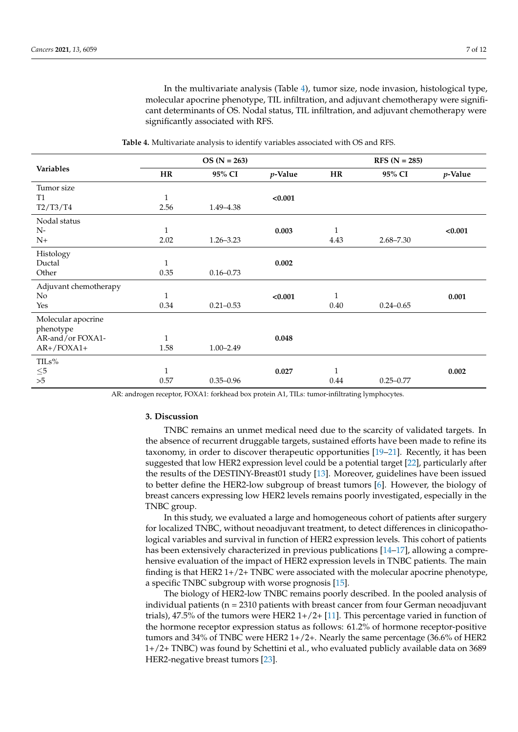In the multivariate analysis (Table 4), tumor size, node invasion, histological type, molecular apocrine phenotype, TIL infiltration, and adjuvant chemotherapy were significant determinants of OS. Nodal status, TIL infiltration, and adjuvant chemotherapy were significantly associated with RFS.

|                       | $OS (N = 263)$ |               |         | $RFS (N = 285)$ |               |         |
|-----------------------|----------------|---------------|---------|-----------------|---------------|---------|
| Variables             | <b>HR</b>      | 95% CI        | p-Value | <b>HR</b>       | 95% CI        | p-Value |
| Tumor size            |                |               |         |                 |               |         |
| <b>T1</b>             | $\mathbf{1}$   |               | < 0.001 |                 |               |         |
| T2/T3/T4              | 2.56           | 1.49–4.38     |         |                 |               |         |
| Nodal status          |                |               |         |                 |               |         |
| $N-$                  | $\mathbf{1}$   |               | 0.003   | $\mathbf{1}$    |               | < 0.001 |
| $N+$                  | 2.02           | $1.26 - 3.23$ |         | 4.43            | $2.68 - 7.30$ |         |
| Histology             |                |               |         |                 |               |         |
| Ductal                | $\mathbf{1}$   |               | 0.002   |                 |               |         |
| Other                 | 0.35           | $0.16 - 0.73$ |         |                 |               |         |
| Adjuvant chemotherapy |                |               |         |                 |               |         |
| N <sub>o</sub>        | $\mathbf{1}$   |               | < 0.001 | $\mathbf{1}$    |               | 0.001   |
| Yes                   | 0.34           | $0.21 - 0.53$ |         | 0.40            | $0.24 - 0.65$ |         |
| Molecular apocrine    |                |               |         |                 |               |         |
| phenotype             |                |               |         |                 |               |         |
| AR-and/or FOXA1-      | $\mathbf{1}$   |               | 0.048   |                 |               |         |
| $AR+$ /FOXA1+         | 1.58           | $1.00 - 2.49$ |         |                 |               |         |
| TILs%                 |                |               |         |                 |               |         |
| ${\leq}5$             | $\mathbf{1}$   |               | 0.027   | $\mathbf{1}$    |               | 0.002   |
| >5                    | 0.57           | $0.35 - 0.96$ |         | 0.44            | $0.25 - 0.77$ |         |

**Table 4.** Multivariate analysis to identify variables associated with OS and RFS.

AR: androgen receptor, FOXA1: forkhead box protein A1, TILs: tumor-infiltrating lymphocytes.

#### **3. Discussion**

TNBC remains an unmet medical need due to the scarcity of validated targets. In the absence of recurrent druggable targets, sustained efforts have been made to refine its taxonomy, in order to discover therapeutic opportunities [19–21]. Recently, it has been suggested that low HER2 expression level could be a potential target [22], particularly after the results of the DESTINY-Breast01 study [13]. Moreover, guidelines have been issued to better define the HER2-low subgroup of breast tumors [6]. However, the biology of breast cancers expressing low HER2 levels remains poorly investigated, especially in the TNBC group.

In this study, we evaluated a large and homogeneous cohort of patients after surgery for localized TNBC, without neoadjuvant treatment, to detect differences in clinicopathological variables and survival in function of HER2 expression levels. This cohort of patients has been extensively characterized in previous publications [14–17], allowing a comprehensive evaluation of the impact of HER2 expression levels in TNBC patients. The main finding is that HER2 1+/2+ TNBC were associated with the molecular apocrine phenotype, a specific TNBC subgroup with worse prognosis [15].

The biology of HER2-low TNBC remains poorly described. In the pooled analysis of individual patients (n = 2310 patients with breast cancer from four German neoadjuvant trials), 47.5% of the tumors were HER2  $1+/2+[11]$ . This percentage varied in function of the hormone receptor expression status as follows: 61.2% of hormone receptor-positive tumors and 34% of TNBC were HER2 1+/2+. Nearly the same percentage (36.6% of HER2 1+/2+ TNBC) was found by Schettini et al., who evaluated publicly available data on 3689 HER2-negative breast tumors [23].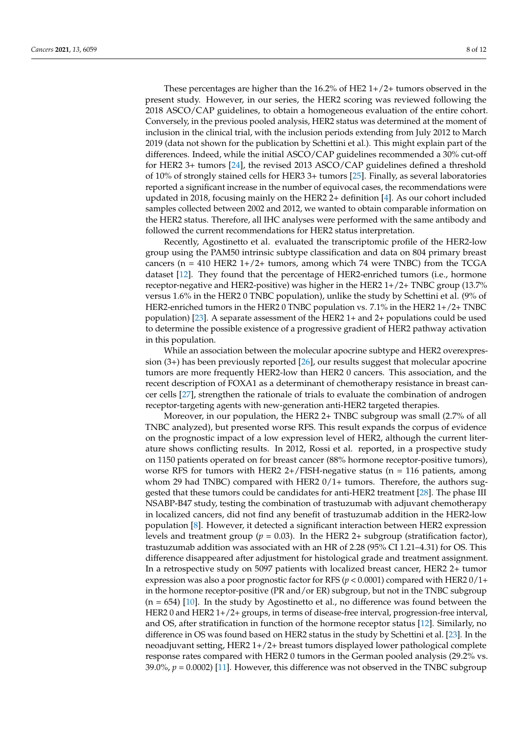These percentages are higher than the 16.2% of HE2 1+/2+ tumors observed in the present study. However, in our series, the HER2 scoring was reviewed following the 2018 ASCO/CAP guidelines, to obtain a homogeneous evaluation of the entire cohort. Conversely, in the previous pooled analysis, HER2 status was determined at the moment of inclusion in the clinical trial, with the inclusion periods extending from July 2012 to March 2019 (data not shown for the publication by Schettini et al.). This might explain part of the differences. Indeed, while the initial ASCO/CAP guidelines recommended a 30% cut-off for HER2 3+ tumors [24], the revised 2013 ASCO/CAP guidelines defined a threshold of 10% of strongly stained cells for HER3 3+ tumors [25]. Finally, as several laboratories reported a significant increase in the number of equivocal cases, the recommendations were updated in 2018, focusing mainly on the HER2 2+ definition [4]. As our cohort included samples collected between 2002 and 2012, we wanted to obtain comparable information on the HER2 status. Therefore, all IHC analyses were performed with the same antibody and followed the current recommendations for HER2 status interpretation.

Recently, Agostinetto et al. evaluated the transcriptomic profile of the HER2-low group using the PAM50 intrinsic subtype classification and data on 804 primary breast cancers ( $n = 410$  HER2 1+/2+ tumors, among which 74 were TNBC) from the TCGA dataset [12]. They found that the percentage of HER2-enriched tumors (i.e., hormone receptor-negative and HER2-positive) was higher in the HER2 1+/2+ TNBC group (13.7% versus 1.6% in the HER2 0 TNBC population), unlike the study by Schettini et al. (9% of HER2-enriched tumors in the HER2 0 TNBC population vs. 7.1% in the HER2 1+/2+ TNBC population) [23]. A separate assessment of the HER2 1+ and 2+ populations could be used to determine the possible existence of a progressive gradient of HER2 pathway activation in this population.

While an association between the molecular apocrine subtype and HER2 overexpression (3+) has been previously reported [26], our results suggest that molecular apocrine tumors are more frequently HER2-low than HER2 0 cancers. This association, and the recent description of FOXA1 as a determinant of chemotherapy resistance in breast cancer cells [27], strengthen the rationale of trials to evaluate the combination of androgen receptor-targeting agents with new-generation anti-HER2 targeted therapies.

Moreover, in our population, the HER2 2+ TNBC subgroup was small (2.7% of all TNBC analyzed), but presented worse RFS. This result expands the corpus of evidence on the prognostic impact of a low expression level of HER2, although the current literature shows conflicting results. In 2012, Rossi et al. reported, in a prospective study on 1150 patients operated on for breast cancer (88% hormone receptor-positive tumors), worse RFS for tumors with HER2  $2+$ /FISH-negative status (n = 116 patients, among whom 29 had TNBC) compared with HER2  $0/1+$  tumors. Therefore, the authors suggested that these tumors could be candidates for anti-HER2 treatment [28]. The phase III NSABP-B47 study, testing the combination of trastuzumab with adjuvant chemotherapy in localized cancers, did not find any benefit of trastuzumab addition in the HER2-low population [8]. However, it detected a significant interaction between HER2 expression levels and treatment group ( $p = 0.03$ ). In the HER2 2+ subgroup (stratification factor), trastuzumab addition was associated with an HR of 2.28 (95% CI 1.21–4.31) for OS. This difference disappeared after adjustment for histological grade and treatment assignment. In a retrospective study on 5097 patients with localized breast cancer, HER2 2+ tumor expression was also a poor prognostic factor for RFS ( $p < 0.0001$ ) compared with HER2  $0/1+$ in the hormone receptor-positive (PR and/or ER) subgroup, but not in the TNBC subgroup  $(n = 654)$  [10]. In the study by Agostinetto et al., no difference was found between the HER2 0 and HER2 1+/2+ groups, in terms of disease-free interval, progression-free interval, and OS, after stratification in function of the hormone receptor status [12]. Similarly, no difference in OS was found based on HER2 status in the study by Schettini et al. [23]. In the neoadjuvant setting, HER2 1+/2+ breast tumors displayed lower pathological complete response rates compared with HER2 0 tumors in the German pooled analysis (29.2% vs. 39.0%,  $p = 0.0002$  [11]. However, this difference was not observed in the TNBC subgroup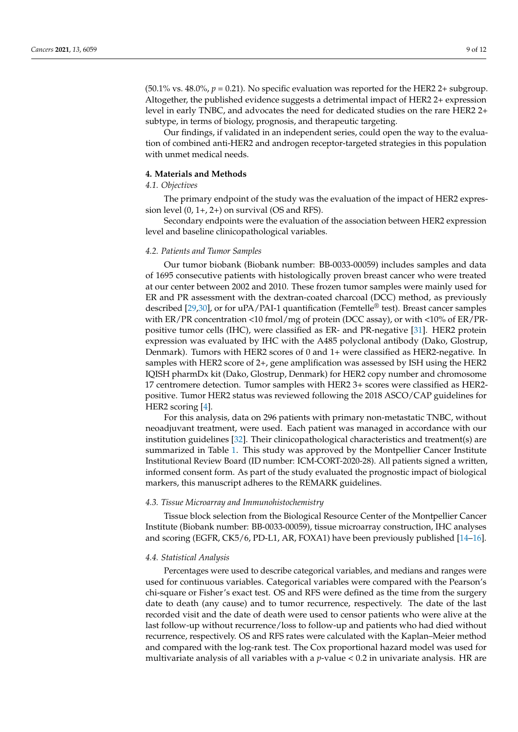(50.1% vs. 48.0%,  $p = 0.21$ ). No specific evaluation was reported for the HER2 2+ subgroup. Altogether, the published evidence suggests a detrimental impact of HER2 2+ expression level in early TNBC, and advocates the need for dedicated studies on the rare HER2 2+ subtype, in terms of biology, prognosis, and therapeutic targeting.

Our findings, if validated in an independent series, could open the way to the evaluation of combined anti-HER2 and androgen receptor-targeted strategies in this population with unmet medical needs.

#### **4. Materials and Methods**

#### *4.1. Objectives*

The primary endpoint of the study was the evaluation of the impact of HER2 expression level  $(0, 1+, 2+)$  on survival  $(OS \text{ and } RFS)$ .

Secondary endpoints were the evaluation of the association between HER2 expression level and baseline clinicopathological variables.

#### *4.2. Patients and Tumor Samples*

Our tumor biobank (Biobank number: BB-0033-00059) includes samples and data of 1695 consecutive patients with histologically proven breast cancer who were treated at our center between 2002 and 2010. These frozen tumor samples were mainly used for ER and PR assessment with the dextran-coated charcoal (DCC) method, as previously described [29,30], or for uPA/PAI-1 quantification (Femtelle<sup>®</sup> test). Breast cancer samples with ER/PR concentration <10 fmol/mg of protein (DCC assay), or with <10% of ER/PRpositive tumor cells (IHC), were classified as ER- and PR-negative [31]. HER2 protein expression was evaluated by IHC with the A485 polyclonal antibody (Dako, Glostrup, Denmark). Tumors with HER2 scores of 0 and 1+ were classified as HER2-negative. In samples with HER2 score of 2+, gene amplification was assessed by ISH using the HER2 IQISH pharmDx kit (Dako, Glostrup, Denmark) for HER2 copy number and chromosome 17 centromere detection. Tumor samples with HER2 3+ scores were classified as HER2 positive. Tumor HER2 status was reviewed following the 2018 ASCO/CAP guidelines for HER2 scoring [4].

For this analysis, data on 296 patients with primary non-metastatic TNBC, without neoadjuvant treatment, were used. Each patient was managed in accordance with our institution guidelines [32]. Their clinicopathological characteristics and treatment(s) are summarized in Table 1. This study was approved by the Montpellier Cancer Institute Institutional Review Board (ID number: ICM-CORT-2020-28). All patients signed a written, informed consent form. As part of the study evaluated the prognostic impact of biological markers, this manuscript adheres to the REMARK guidelines.

#### *4.3. Tissue Microarray and Immunohistochemistry*

Tissue block selection from the Biological Resource Center of the Montpellier Cancer Institute (Biobank number: BB-0033-00059), tissue microarray construction, IHC analyses and scoring (EGFR, CK5/6, PD-L1, AR, FOXA1) have been previously published [14–16].

#### *4.4. Statistical Analysis*

Percentages were used to describe categorical variables, and medians and ranges were used for continuous variables. Categorical variables were compared with the Pearson's chi-square or Fisher's exact test. OS and RFS were defined as the time from the surgery date to death (any cause) and to tumor recurrence, respectively. The date of the last recorded visit and the date of death were used to censor patients who were alive at the last follow-up without recurrence/loss to follow-up and patients who had died without recurrence, respectively. OS and RFS rates were calculated with the Kaplan–Meier method and compared with the log-rank test. The Cox proportional hazard model was used for multivariate analysis of all variables with a *p*-value < 0.2 in univariate analysis. HR are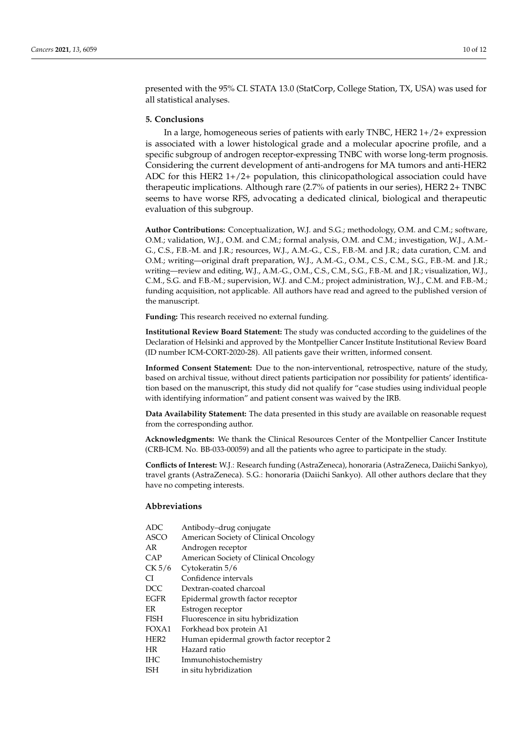presented with the 95% CI. STATA 13.0 (StatCorp, College Station, TX, USA) was used for all statistical analyses.

#### **5. Conclusions**

In a large, homogeneous series of patients with early TNBC, HER2 1+/2+ expression is associated with a lower histological grade and a molecular apocrine profile, and a specific subgroup of androgen receptor-expressing TNBC with worse long-term prognosis. Considering the current development of anti-androgens for MA tumors and anti-HER2 ADC for this HER2  $1+/2+$  population, this clinicopathological association could have therapeutic implications. Although rare (2.7% of patients in our series), HER2 2+ TNBC seems to have worse RFS, advocating a dedicated clinical, biological and therapeutic evaluation of this subgroup.

**Author Contributions:** Conceptualization, W.J. and S.G.; methodology, O.M. and C.M.; software, O.M.; validation, W.J., O.M. and C.M.; formal analysis, O.M. and C.M.; investigation, W.J., A.M.- G., C.S., F.B.-M. and J.R.; resources, W.J., A.M.-G., C.S., F.B.-M. and J.R.; data curation, C.M. and O.M.; writing—original draft preparation, W.J., A.M.-G., O.M., C.S., C.M., S.G., F.B.-M. and J.R.; writing—review and editing, W.J., A.M.-G., O.M., C.S., C.M., S.G., F.B.-M. and J.R.; visualization, W.J., C.M., S.G. and F.B.-M.; supervision, W.J. and C.M.; project administration, W.J., C.M. and F.B.-M.; funding acquisition, not applicable. All authors have read and agreed to the published version of the manuscript.

**Funding:** This research received no external funding.

**Institutional Review Board Statement:** The study was conducted according to the guidelines of the Declaration of Helsinki and approved by the Montpellier Cancer Institute Institutional Review Board (ID number ICM-CORT-2020-28). All patients gave their written, informed consent.

**Informed Consent Statement:** Due to the non-interventional, retrospective, nature of the study, based on archival tissue, without direct patients participation nor possibility for patients' identification based on the manuscript, this study did not qualify for "case studies using individual people with identifying information" and patient consent was waived by the IRB.

**Data Availability Statement:** The data presented in this study are available on reasonable request from the corresponding author.

**Acknowledgments:** We thank the Clinical Resources Center of the Montpellier Cancer Institute (CRB-ICM. No. BB-033-00059) and all the patients who agree to participate in the study.

**Conflicts of Interest:** W.J.: Research funding (AstraZeneca), honoraria (AstraZeneca, Daiichi Sankyo), travel grants (AstraZeneca). S.G.: honoraria (Daiichi Sankyo). All other authors declare that they have no competing interests.

#### **Abbreviations**

| <b>ADC</b>       | Antibody-drug conjugate                  |
|------------------|------------------------------------------|
| ASCO             | American Society of Clinical Oncology    |
| AR               | Androgen receptor                        |
| CAP              | American Society of Clinical Oncology    |
| CK 5/6           | Cytokeratin 5/6                          |
| СI               | Confidence intervals                     |
| DCC              | Dextran-coated charcoal                  |
| EGFR             | Epidermal growth factor receptor         |
| ER               | Estrogen receptor                        |
| FISH             | Fluorescence in situ hybridization       |
| FOXA1            | Forkhead box protein A1                  |
| HER <sub>2</sub> | Human epidermal growth factor receptor 2 |
| HR               | Hazard ratio                             |
| IНC              | Immunohistochemistry                     |
| ISH              | in situ hybridization                    |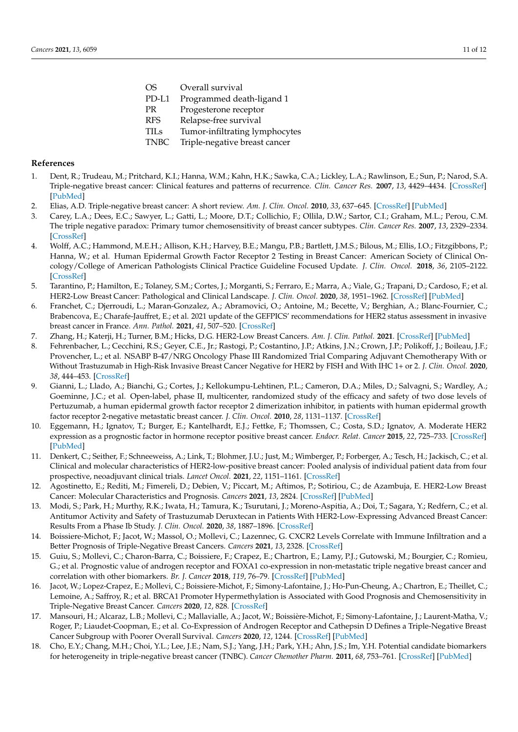OS Overall survival PD-L1 Programmed death-ligand 1 PR Progesterone receptor RFS Relapse-free survival TILs Tumor-infiltrating lymphocytes TNBC Triple-negative breast cancer

#### **References**

- 1. Dent, R.; Trudeau, M.; Pritchard, K.I.; Hanna, W.M.; Kahn, H.K.; Sawka, C.A.; Lickley, L.A.; Rawlinson, E.; Sun, P.; Narod, S.A. Triple-negative breast cancer: Clinical features and patterns of recurrence. *Clin. Cancer Res.* **2007**, *13*, 4429–4434. [\[CrossRef\]](http://doi.org/10.1158/1078-0432.CCR-06-3045) [\[PubMed\]](http://www.ncbi.nlm.nih.gov/pubmed/17671126)
- 2. Elias, A.D. Triple-negative breast cancer: A short review. *Am. J. Clin. Oncol.* **2010**, *33*, 637–645. [\[CrossRef\]](http://doi.org/10.1097/COC.0b013e3181b8afcf) [\[PubMed\]](http://www.ncbi.nlm.nih.gov/pubmed/20023571)
- 3. Carey, L.A.; Dees, E.C.; Sawyer, L.; Gatti, L.; Moore, D.T.; Collichio, F.; Ollila, D.W.; Sartor, C.I.; Graham, M.L.; Perou, C.M. The triple negative paradox: Primary tumor chemosensitivity of breast cancer subtypes. *Clin. Cancer Res.* **2007**, *13*, 2329–2334. [\[CrossRef\]](http://doi.org/10.1158/1078-0432.CCR-06-1109)
- 4. Wolff, A.C.; Hammond, M.E.H.; Allison, K.H.; Harvey, B.E.; Mangu, P.B.; Bartlett, J.M.S.; Bilous, M.; Ellis, I.O.; Fitzgibbons, P.; Hanna, W.; et al. Human Epidermal Growth Factor Receptor 2 Testing in Breast Cancer: American Society of Clinical Oncology/College of American Pathologists Clinical Practice Guideline Focused Update. *J. Clin. Oncol.* **2018**, *36*, 2105–2122. [\[CrossRef\]](http://doi.org/10.1200/JCO.2018.77.8738)
- 5. Tarantino, P.; Hamilton, E.; Tolaney, S.M.; Cortes, J.; Morganti, S.; Ferraro, E.; Marra, A.; Viale, G.; Trapani, D.; Cardoso, F.; et al. HER2-Low Breast Cancer: Pathological and Clinical Landscape. *J. Clin. Oncol.* **2020**, *38*, 1951–1962. [\[CrossRef\]](http://doi.org/10.1200/JCO.19.02488) [\[PubMed\]](http://www.ncbi.nlm.nih.gov/pubmed/32330069)
- 6. Franchet, C.; Djerroudi, L.; Maran-Gonzalez, A.; Abramovici, O.; Antoine, M.; Becette, V.; Berghian, A.; Blanc-Fournier, C.; Brabencova, E.; Charafe-Jauffret, E.; et al. 2021 update of the GEFPICS' recommendations for HER2 status assessment in invasive breast cancer in France. *Ann. Pathol.* **2021**, *41*, 507–520. [\[CrossRef\]](http://doi.org/10.1016/j.annpat.2021.07.014)
- 7. Zhang, H.; Katerji, H.; Turner, B.M.; Hicks, D.G. HER2-Low Breast Cancers. *Am. J. Clin. Pathol.* **2021**. [\[CrossRef\]](http://doi.org/10.1093/ajcp/aqab117) [\[PubMed\]](http://www.ncbi.nlm.nih.gov/pubmed/34519765)
- 8. Fehrenbacher, L.; Cecchini, R.S.; Geyer, C.E., Jr.; Rastogi, P.; Costantino, J.P.; Atkins, J.N.; Crown, J.P.; Polikoff, J.; Boileau, J.F.; Provencher, L.; et al. NSABP B-47/NRG Oncology Phase III Randomized Trial Comparing Adjuvant Chemotherapy With or Without Trastuzumab in High-Risk Invasive Breast Cancer Negative for HER2 by FISH and With IHC 1+ or 2. *J. Clin. Oncol.* **2020**, *38*, 444–453. [\[CrossRef\]](http://doi.org/10.1200/JCO.19.01455)
- 9. Gianni, L.; Llado, A.; Bianchi, G.; Cortes, J.; Kellokumpu-Lehtinen, P.L.; Cameron, D.A.; Miles, D.; Salvagni, S.; Wardley, A.; Goeminne, J.C.; et al. Open-label, phase II, multicenter, randomized study of the efficacy and safety of two dose levels of Pertuzumab, a human epidermal growth factor receptor 2 dimerization inhibitor, in patients with human epidermal growth factor receptor 2-negative metastatic breast cancer. *J. Clin. Oncol.* **2010**, *28*, 1131–1137. [\[CrossRef\]](http://doi.org/10.1200/JCO.2009.24.1661)
- 10. Eggemann, H.; Ignatov, T.; Burger, E.; Kantelhardt, E.J.; Fettke, F.; Thomssen, C.; Costa, S.D.; Ignatov, A. Moderate HER2 expression as a prognostic factor in hormone receptor positive breast cancer. *Endocr. Relat. Cancer* **2015**, *22*, 725–733. [\[CrossRef\]](http://doi.org/10.1530/ERC-15-0335) [\[PubMed\]](http://www.ncbi.nlm.nih.gov/pubmed/26187126)
- 11. Denkert, C.; Seither, F.; Schneeweiss, A.; Link, T.; Blohmer, J.U.; Just, M.; Wimberger, P.; Forberger, A.; Tesch, H.; Jackisch, C.; et al. Clinical and molecular characteristics of HER2-low-positive breast cancer: Pooled analysis of individual patient data from four prospective, neoadjuvant clinical trials. *Lancet Oncol.* **2021**, *22*, 1151–1161. [\[CrossRef\]](http://doi.org/10.1016/S1470-2045(21)00301-6)
- 12. Agostinetto, E.; Rediti, M.; Fimereli, D.; Debien, V.; Piccart, M.; Aftimos, P.; Sotiriou, C.; de Azambuja, E. HER2-Low Breast Cancer: Molecular Characteristics and Prognosis. *Cancers* **2021**, *13*, 2824. [\[CrossRef\]](http://doi.org/10.3390/cancers13112824) [\[PubMed\]](http://www.ncbi.nlm.nih.gov/pubmed/34198891)
- 13. Modi, S.; Park, H.; Murthy, R.K.; Iwata, H.; Tamura, K.; Tsurutani, J.; Moreno-Aspitia, A.; Doi, T.; Sagara, Y.; Redfern, C.; et al. Antitumor Activity and Safety of Trastuzumab Deruxtecan in Patients With HER2-Low-Expressing Advanced Breast Cancer: Results From a Phase Ib Study. *J. Clin. Oncol.* **2020**, *38*, 1887–1896. [\[CrossRef\]](http://doi.org/10.1200/JCO.19.02318)
- 14. Boissiere-Michot, F.; Jacot, W.; Massol, O.; Mollevi, C.; Lazennec, G. CXCR2 Levels Correlate with Immune Infiltration and a Better Prognosis of Triple-Negative Breast Cancers. *Cancers* **2021**, *13*, 2328. [\[CrossRef\]](http://doi.org/10.3390/cancers13102328)
- 15. Guiu, S.; Mollevi, C.; Charon-Barra, C.; Boissiere, F.; Crapez, E.; Chartron, E.; Lamy, P.J.; Gutowski, M.; Bourgier, C.; Romieu, G.; et al. Prognostic value of androgen receptor and FOXA1 co-expression in non-metastatic triple negative breast cancer and correlation with other biomarkers. *Br. J. Cancer* **2018**, *119*, 76–79. [\[CrossRef\]](http://doi.org/10.1038/s41416-018-0142-6) [\[PubMed\]](http://www.ncbi.nlm.nih.gov/pubmed/29880907)
- 16. Jacot, W.; Lopez-Crapez, E.; Mollevi, C.; Boissiere-Michot, F.; Simony-Lafontaine, J.; Ho-Pun-Cheung, A.; Chartron, E.; Theillet, C.; Lemoine, A.; Saffroy, R.; et al. BRCA1 Promoter Hypermethylation is Associated with Good Prognosis and Chemosensitivity in Triple-Negative Breast Cancer. *Cancers* **2020**, *12*, 828. [\[CrossRef\]](http://doi.org/10.3390/cancers12040828)
- 17. Mansouri, H.; Alcaraz, L.B.; Mollevi, C.; Mallavialle, A.; Jacot, W.; Boissière-Michot, F.; Simony-Lafontaine, J.; Laurent-Matha, V.; Roger, P.; Liaudet-Coopman, E.; et al. Co-Expression of Androgen Receptor and Cathepsin D Defines a Triple-Negative Breast Cancer Subgroup with Poorer Overall Survival. *Cancers* **2020**, *12*, 1244. [\[CrossRef\]](http://doi.org/10.3390/cancers12051244) [\[PubMed\]](http://www.ncbi.nlm.nih.gov/pubmed/32429078)
- 18. Cho, E.Y.; Chang, M.H.; Choi, Y.L.; Lee, J.E.; Nam, S.J.; Yang, J.H.; Park, Y.H.; Ahn, J.S.; Im, Y.H. Potential candidate biomarkers for heterogeneity in triple-negative breast cancer (TNBC). *Cancer Chemother Pharm.* **2011**, *68*, 753–761. [\[CrossRef\]](http://doi.org/10.1007/s00280-010-1548-x) [\[PubMed\]](http://www.ncbi.nlm.nih.gov/pubmed/21170648)